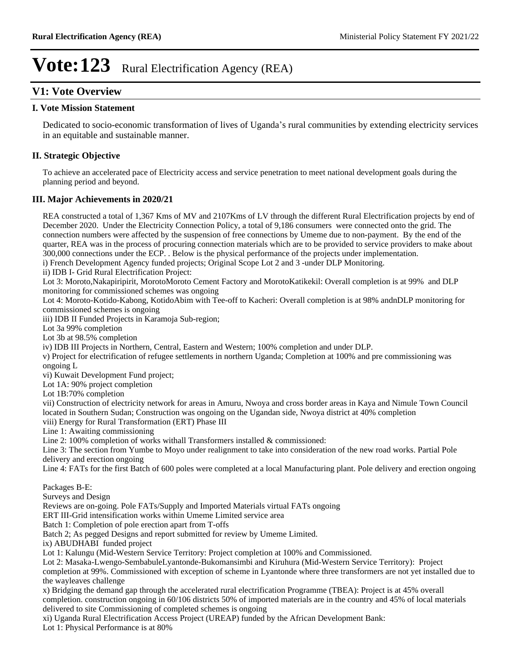### **V1: Vote Overview**

#### **I. Vote Mission Statement**

Dedicated to socio-economic transformation of lives of Uganda's rural communities by extending electricity services in an equitable and sustainable manner.

### **II. Strategic Objective**

To achieve an accelerated pace of Electricity access and service penetration to meet national development goals during the planning period and beyond.

### **III. Major Achievements in 2020/21**

REA constructed a total of 1,367 Kms of MV and 2107Kms of LV through the different Rural Electrification projects by end of December 2020. Under the Electricity Connection Policy, a total of 9,186 consumers were connected onto the grid. The connection numbers were affected by the suspension of free connections by Umeme due to non-payment. By the end of the quarter, REA was in the process of procuring connection materials which are to be provided to service providers to make about 300,000 connections under the ECP. . Below is the physical performance of the projects under implementation. i) French Development Agency funded projects; Original Scope Lot 2 and 3 -under DLP Monitoring. ii) IDB I- Grid Rural Electrification Project: Lot 3: Moroto,Nakapiripirit, MorotoMoroto Cement Factory and MorotoKatikekil: Overall completion is at 99% and DLP monitoring for commissioned schemes was ongoing Lot 4: Moroto-Kotido-Kabong, KotidoAbim with Tee-off to Kacheri: Overall completion is at 98% andnDLP monitoring for commissioned schemes is ongoing iii) IDB II Funded Projects in Karamoja Sub-region; Lot 3a 99% completion Lot 3b at 98.5% completion iv) IDB III Projects in Northern, Central, Eastern and Western; 100% completion and under DLP. v) Project for electrification of refugee settlements in northern Uganda; Completion at 100% and pre commissioning was ongoing L vi) Kuwait Development Fund project; Lot 1A: 90% project completion Lot 1B:70% completion vii) Construction of electricity network for areas in Amuru, Nwoya and cross border areas in Kaya and Nimule Town Council located in Southern Sudan; Construction was ongoing on the Ugandan side, Nwoya district at 40% completion viii) Energy for Rural Transformation (ERT) Phase III Line 1: Awaiting commissioning Line 2: 100% completion of works withall Transformers installed & commissioned: Line 3: The section from Yumbe to Moyo under realignment to take into consideration of the new road works. Partial Pole delivery and erection ongoing Line 4: FATs for the first Batch of 600 poles were completed at a local Manufacturing plant. Pole delivery and erection ongoing Packages B-E: Surveys and Design Reviews are on-going. Pole FATs/Supply and Imported Materials virtual FATs ongoing ERT III-Grid intensification works within Umeme Limited service area Batch 1: Completion of pole erection apart from T-offs Batch 2; As pegged Designs and report submitted for review by Umeme Limited. ix) ABUDHABI funded project Lot 1: Kalungu (Mid-Western Service Territory: Project completion at 100% and Commissioned. Lot 2: Masaka-Lwengo-SembabuleLyantonde-Bukomansimbi and Kiruhura (Mid-Western Service Territory): Project completion at 99%. Commissioned with exception of scheme in Lyantonde where three transformers are not yet installed due to the wayleaves challenge x) Bridging the demand gap through the accelerated rural electrification Programme (TBEA): Project is at 45% overall completion. construction ongoing in 60/106 districts 50% of imported materials are in the country and 45% of local materials delivered to site Commissioning of completed schemes is ongoing xi) Uganda Rural Electrification Access Project (UREAP) funded by the African Development Bank: Lot 1: Physical Performance is at 80%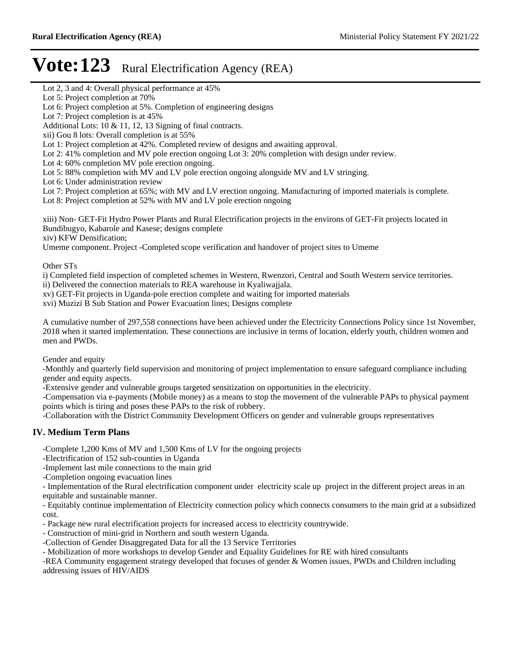Lot 2, 3 and 4: Overall physical performance at 45%

Lot 6: Project completion at 5%. Completion of engineering designs

- Lot 2: 41% completion and MV pole erection ongoing Lot 3: 20% completion with design under review.
- Lot 4: 60% completion MV pole erection ongoing.
- Lot 5: 88% completion with MV and LV pole erection ongoing alongside MV and LV stringing.

Lot 6: Under administration review

Lot 7: Project completion at 65%; with MV and LV erection ongoing. Manufacturing of imported materials is complete.

Lot 8: Project completion at 52% with MV and LV pole erection ongoing

xiii) Non- GET-Fit Hydro Power Plants and Rural Electrification projects in the environs of GET-Fit projects located in Bundibugyo, Kabarole and Kasese; designs complete

xiv) KFW Densification;

Umeme component. Project -Completed scope verification and handover of project sites to Umeme

Other STs

i) Completed field inspection of completed schemes in Western, Rwenzori, Central and South Western service territories.

ii) Delivered the connection materials to REA warehouse in Kyaliwajjala.

xv) GET-Fit projects in Uganda-pole erection complete and waiting for imported materials

xvi) Muzizi B Sub Station and Power Evacuation lines; Designs complete

A cumulative number of 297,558 connections have been achieved under the Electricity Connections Policy since 1st November, 2018 when it started implementation. These connections are inclusive in terms of location, elderly youth, children women and men and PWDs.

Gender and equity

-Monthly and quarterly field supervision and monitoring of project implementation to ensure safeguard compliance including gender and equity aspects.

-Extensive gender and vulnerable groups targeted sensitization on opportunities in the electricity.

-Compensation via e-payments (Mobile money) as a means to stop the movement of the vulnerable PAPs to physical payment points which is tiring and poses these PAPs to the risk of robbery.

-Collaboration with the District Community Development Officers on gender and vulnerable groups representatives

### **IV. Medium Term Plans**

-Complete 1,200 Kms of MV and 1,500 Kms of LV for the ongoing projects

-Electrification of 152 sub-counties in Uganda

-Implement last mile connections to the main grid

-Completion ongoing evacuation lines

- Implementation of the Rural electrification component under electricity scale up project in the different project areas in an equitable and sustainable manner.

- Equitably continue implementation of Electricity connection policy which connects consumers to the main grid at a subsidized cost.

- Package new rural electrification projects for increased access to electricity countrywide.

- Construction of mini-grid in Northern and south western Uganda.

-Collection of Gender Disaggregated Data for all the 13 Service Territories

- Mobilization of more workshops to develop Gender and Equality Guidelines for RE with hired consultants

-REA Community engagement strategy developed that focuses of gender & Women issues, PWDs and Children including addressing issues of HIV/AIDS

Lot 5: Project completion at 70%

Lot 7: Project completion is at 45%

Additional Lots: 10 & 11, 12, 13 Signing of final contracts.

xii) Gou 8 lots: Overall completion is at 55%

Lot 1: Project completion at 42%. Completed review of designs and awaiting approval.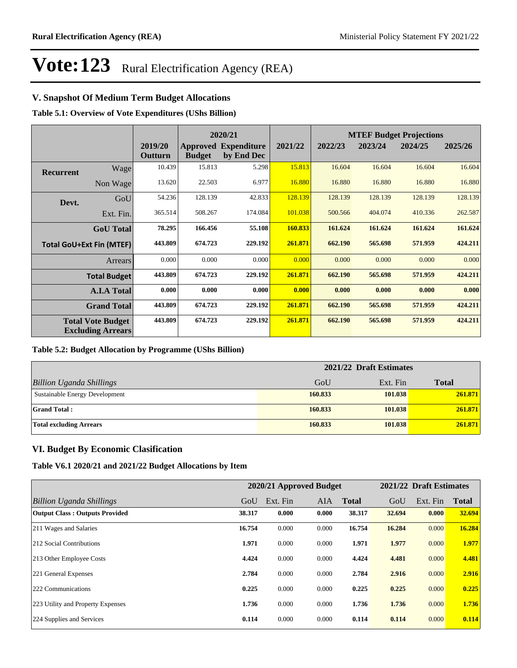### **V. Snapshot Of Medium Term Budget Allocations**

**Table 5.1: Overview of Vote Expenditures (UShs Billion)**

|                  |                                                      |                    | 2020/21       |                                           |         | <b>MTEF Budget Projections</b> |         |         |         |
|------------------|------------------------------------------------------|--------------------|---------------|-------------------------------------------|---------|--------------------------------|---------|---------|---------|
|                  |                                                      | 2019/20<br>Outturn | <b>Budget</b> | <b>Approved Expenditure</b><br>by End Dec | 2021/22 | 2022/23                        | 2023/24 | 2024/25 | 2025/26 |
| <b>Recurrent</b> | Wage                                                 | 10.439             | 15.813        | 5.298                                     | 15.813  | 16.604                         | 16.604  | 16.604  | 16.604  |
|                  | Non Wage                                             | 13.620             | 22.503        | 6.977                                     | 16.880  | 16.880                         | 16.880  | 16.880  | 16.880  |
| Devt.            | GoU                                                  | 54.236             | 128.139       | 42.833                                    | 128.139 | 128.139                        | 128.139 | 128.139 | 128.139 |
|                  | Ext. Fin.                                            | 365.514            | 508.267       | 174.084                                   | 101.038 | 500.566                        | 404.074 | 410.336 | 262.587 |
|                  | <b>GoU</b> Total                                     | 78.295             | 166.456       | 55.108                                    | 160.833 | 161.624                        | 161.624 | 161.624 | 161.624 |
|                  | <b>Total GoU+Ext Fin (MTEF)</b>                      | 443.809            | 674.723       | 229.192                                   | 261.871 | 662.190                        | 565.698 | 571.959 | 424.211 |
|                  | Arrears                                              | 0.000              | 0.000         | 0.000                                     | 0.000   | 0.000                          | 0.000   | 0.000   | 0.000   |
|                  | <b>Total Budget</b>                                  | 443.809            | 674.723       | 229.192                                   | 261.871 | 662.190                        | 565.698 | 571.959 | 424.211 |
|                  | <b>A.I.A Total</b>                                   | 0.000              | 0.000         | 0.000                                     | 0.000   | 0.000                          | 0.000   | 0.000   | 0.000   |
|                  | <b>Grand Total</b>                                   | 443.809            | 674.723       | 229.192                                   | 261.871 | 662.190                        | 565.698 | 571.959 | 424.211 |
|                  | <b>Total Vote Budget</b><br><b>Excluding Arrears</b> | 443.809            | 674.723       | 229.192                                   | 261.871 | 662.190                        | 565.698 | 571.959 | 424.211 |

#### **Table 5.2: Budget Allocation by Programme (UShs Billion)**

|                                 | 2021/22 Draft Estimates |          |              |
|---------------------------------|-------------------------|----------|--------------|
| <b>Billion Uganda Shillings</b> | GoU                     | Ext. Fin | <b>Total</b> |
| Sustainable Energy Development  | 160.833                 | 101.038  | 261.871      |
| <b>Grand Total:</b>             | 160.833                 | 101.038  | 261.871      |
| <b>Total excluding Arrears</b>  | 160.833                 | 101.038  | 261.871      |

#### **VI. Budget By Economic Clasification**

**Table V6.1 2020/21 and 2021/22 Budget Allocations by Item**

|                                       |        | 2020/21 Approved Budget |            |              |        | 2021/22 Draft Estimates |              |
|---------------------------------------|--------|-------------------------|------------|--------------|--------|-------------------------|--------------|
| Billion Uganda Shillings              | GoU    | Ext. Fin                | <b>AIA</b> | <b>Total</b> | GoU    | Ext. Fin                | <b>Total</b> |
| <b>Output Class: Outputs Provided</b> | 38.317 | 0.000                   | 0.000      | 38.317       | 32.694 | 0.000                   | 32.694       |
| 211 Wages and Salaries                | 16.754 | 0.000                   | 0.000      | 16.754       | 16.284 | 0.000                   | 16.284       |
| 212 Social Contributions              | 1.971  | 0.000                   | 0.000      | 1.971        | 1.977  | 0.000                   | 1.977        |
| 213 Other Employee Costs              | 4.424  | 0.000                   | 0.000      | 4.424        | 4.481  | 0.000                   | 4.481        |
| 221 General Expenses                  | 2.784  | 0.000                   | 0.000      | 2.784        | 2.916  | 0.000                   | 2.916        |
| 222 Communications                    | 0.225  | 0.000                   | 0.000      | 0.225        | 0.225  | 0.000                   | 0.225        |
| 223 Utility and Property Expenses     | 1.736  | 0.000                   | 0.000      | 1.736        | 1.736  | 0.000                   | 1.736        |
| 224 Supplies and Services             | 0.114  | 0.000                   | 0.000      | 0.114        | 0.114  | 0.000                   | 0.114        |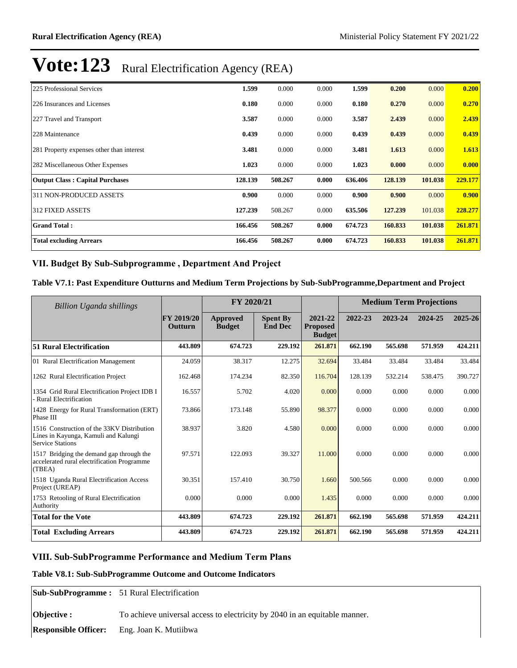| 225 Professional Services                 | 1.599   | 0.000   | 0.000 | 1.599   | 0.200   | 0.000   | 0.200   |
|-------------------------------------------|---------|---------|-------|---------|---------|---------|---------|
| 226 Insurances and Licenses               | 0.180   | 0.000   | 0.000 | 0.180   | 0.270   | 0.000   | 0.270   |
| 227 Travel and Transport                  | 3.587   | 0.000   | 0.000 | 3.587   | 2.439   | 0.000   | 2.439   |
| 228 Maintenance                           | 0.439   | 0.000   | 0.000 | 0.439   | 0.439   | 0.000   | 0.439   |
| 281 Property expenses other than interest | 3.481   | 0.000   | 0.000 | 3.481   | 1.613   | 0.000   | 1.613   |
| 282 Miscellaneous Other Expenses          | 1.023   | 0.000   | 0.000 | 1.023   | 0.000   | 0.000   | 0.000   |
| <b>Output Class: Capital Purchases</b>    | 128.139 | 508.267 | 0.000 | 636.406 | 128.139 | 101.038 | 229.177 |
| 311 NON-PRODUCED ASSETS                   | 0.900   | 0.000   | 0.000 | 0.900   | 0.900   | 0.000   | 0.900   |
| <b>312 FIXED ASSETS</b>                   | 127.239 | 508.267 | 0.000 | 635.506 | 127.239 | 101.038 | 228.277 |
| <b>Grand Total:</b>                       | 166.456 | 508.267 | 0.000 | 674.723 | 160.833 | 101.038 | 261.871 |
| <b>Total excluding Arrears</b>            | 166.456 | 508.267 | 0.000 | 674.723 | 160.833 | 101.038 | 261.871 |

### VII. Budget By Sub-Subprogramme, Department And Project

#### **Table V7.1: Past Expenditure Outturns and Medium Term Projections by Sub-SubProgramme,Department and Project**

| Billion Uganda shillings                                                                                      | FY 2020/21            |                           |                                   | <b>Medium Term Projections</b>              |         |         |         |         |
|---------------------------------------------------------------------------------------------------------------|-----------------------|---------------------------|-----------------------------------|---------------------------------------------|---------|---------|---------|---------|
|                                                                                                               | FY 2019/20<br>Outturn | Approved<br><b>Budget</b> | <b>Spent By</b><br><b>End Dec</b> | 2021-22<br><b>Proposed</b><br><b>Budget</b> | 2022-23 | 2023-24 | 2024-25 | 2025-26 |
| <b>51 Rural Electrification</b>                                                                               | 443.809               | 674.723                   | 229.192                           | 261.871                                     | 662.190 | 565.698 | 571.959 | 424.211 |
| 01 Rural Electrification Management                                                                           | 24.059                | 38.317                    | 12.275                            | 32.694                                      | 33.484  | 33.484  | 33.484  | 33.484  |
| 1262 Rural Electrification Project                                                                            | 162.468               | 174.234                   | 82.350                            | 116.704                                     | 128.139 | 532.214 | 538.475 | 390.727 |
| 1354 Grid Rural Electrification Project IDB I<br>- Rural Electrification                                      | 16.557                | 5.702                     | 4.020                             | 0.000                                       | 0.000   | 0.000   | 0.000   | 0.000   |
| 1428 Energy for Rural Transformation (ERT)<br>Phase III                                                       | 73.866                | 173.148                   | 55.890                            | 98.377                                      | 0.000   | 0.000   | 0.000   | 0.000   |
| 1516 Construction of the 33KV Distribution<br>Lines in Kayunga, Kamuli and Kalungi<br><b>Service Stations</b> | 38.937                | 3.820                     | 4.580                             | 0.000                                       | 0.000   | 0.000   | 0.000   | 0.000   |
| 1517 Bridging the demand gap through the<br>accelerated rural electrification Programme<br>(TBEA)             | 97.571                | 122.093                   | 39.327                            | 11.000                                      | 0.000   | 0.000   | 0.000   | 0.000   |
| 1518 Uganda Rural Electrification Access<br>Project (UREAP)                                                   | 30.351                | 157.410                   | 30.750                            | 1.660                                       | 500.566 | 0.000   | 0.000   | 0.000   |
| 1753 Retooling of Rural Electrification<br>Authority                                                          | 0.000                 | 0.000                     | 0.000                             | 1.435                                       | 0.000   | 0.000   | 0.000   | 0.000   |
| <b>Total for the Vote</b>                                                                                     | 443.809               | 674.723                   | 229.192                           | 261.871                                     | 662.190 | 565.698 | 571.959 | 424.211 |
| <b>Total Excluding Arrears</b>                                                                                | 443.809               | 674.723                   | 229.192                           | 261.871                                     | 662.190 | 565.698 | 571.959 | 424.211 |

#### **VIII. Sub-SubProgramme Performance and Medium Term Plans**

#### **Table V8.1: Sub-SubProgramme Outcome and Outcome Indicators**

**Sub-SubProgramme :** 51 Rural Electrification

**Objective :** To achieve universal access to electricity by 2040 in an equitable manner.

**Responsible Officer:** Eng. Joan K. Mutiibwa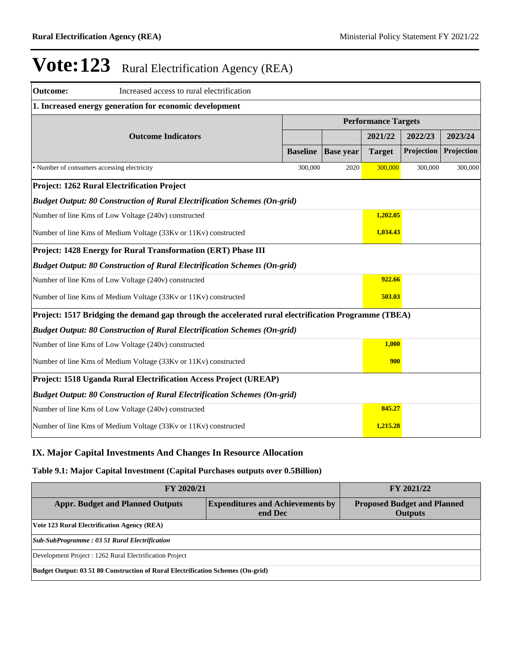| <b>Outcome:</b><br>Increased access to rural electrification                |                                                                                                      |                 |                  |               |            |            |  |  |
|-----------------------------------------------------------------------------|------------------------------------------------------------------------------------------------------|-----------------|------------------|---------------|------------|------------|--|--|
| 1. Increased energy generation for economic development                     |                                                                                                      |                 |                  |               |            |            |  |  |
| <b>Performance Targets</b>                                                  |                                                                                                      |                 |                  |               |            |            |  |  |
|                                                                             | <b>Outcome Indicators</b>                                                                            |                 |                  | 2021/22       | 2022/23    | 2023/24    |  |  |
|                                                                             |                                                                                                      | <b>Baseline</b> | <b>Base year</b> | <b>Target</b> | Projection | Projection |  |  |
| • Number of consumers accessing electricity                                 |                                                                                                      | 300,000         | 2020             | 300,000       | 300,000    | 300,000    |  |  |
|                                                                             | <b>Project: 1262 Rural Electrification Project</b>                                                   |                 |                  |               |            |            |  |  |
|                                                                             | <b>Budget Output: 80 Construction of Rural Electrification Schemes (On-grid)</b>                     |                 |                  |               |            |            |  |  |
|                                                                             | Number of line Kms of Low Voltage (240v) constructed                                                 |                 |                  | 1,202.05      |            |            |  |  |
| Number of line Kms of Medium Voltage (33Kv or 11Kv) constructed             |                                                                                                      | 1,034.43        |                  |               |            |            |  |  |
|                                                                             | Project: 1428 Energy for Rural Transformation (ERT) Phase III                                        |                 |                  |               |            |            |  |  |
|                                                                             | <b>Budget Output: 80 Construction of Rural Electrification Schemes (On-grid)</b>                     |                 |                  |               |            |            |  |  |
|                                                                             | Number of line Kms of Low Voltage (240v) constructed                                                 |                 |                  | 922.66        |            |            |  |  |
|                                                                             | Number of line Kms of Medium Voltage (33Kv or 11Kv) constructed                                      |                 |                  | 503.03        |            |            |  |  |
|                                                                             | Project: 1517 Bridging the demand gap through the accelerated rural electrification Programme (TBEA) |                 |                  |               |            |            |  |  |
|                                                                             | <b>Budget Output: 80 Construction of Rural Electrification Schemes (On-grid)</b>                     |                 |                  |               |            |            |  |  |
| Number of line Kms of Low Voltage (240v) constructed                        |                                                                                                      |                 |                  |               | 1,000      |            |  |  |
| 900<br>Number of line Kms of Medium Voltage (33Kv or 11Kv) constructed      |                                                                                                      |                 |                  |               |            |            |  |  |
| Project: 1518 Uganda Rural Electrification Access Project (UREAP)           |                                                                                                      |                 |                  |               |            |            |  |  |
|                                                                             | <b>Budget Output: 80 Construction of Rural Electrification Schemes (On-grid)</b>                     |                 |                  |               |            |            |  |  |
|                                                                             | Number of line Kms of Low Voltage (240v) constructed                                                 |                 |                  | 845.27        |            |            |  |  |
| 1,215.28<br>Number of line Kms of Medium Voltage (33Kv or 11Kv) constructed |                                                                                                      |                 |                  |               |            |            |  |  |

### **IX. Major Capital Investments And Changes In Resource Allocation**

#### **Table 9.1: Major Capital Investment (Capital Purchases outputs over 0.5Billion)**

| <b>FY 2020/21</b>                                                               | FY 2021/22                                           |  |  |  |  |  |  |
|---------------------------------------------------------------------------------|------------------------------------------------------|--|--|--|--|--|--|
| <b>Appr. Budget and Planned Outputs</b>                                         | <b>Proposed Budget and Planned</b><br><b>Outputs</b> |  |  |  |  |  |  |
| Vote 123 Rural Electrification Agency (REA)                                     |                                                      |  |  |  |  |  |  |
| <b>Sub-SubProgramme: 03 51 Rural Electrification</b>                            |                                                      |  |  |  |  |  |  |
| Development Project : 1262 Rural Electrification Project                        |                                                      |  |  |  |  |  |  |
| Budget Output: 03 51 80 Construction of Rural Electrification Schemes (On-grid) |                                                      |  |  |  |  |  |  |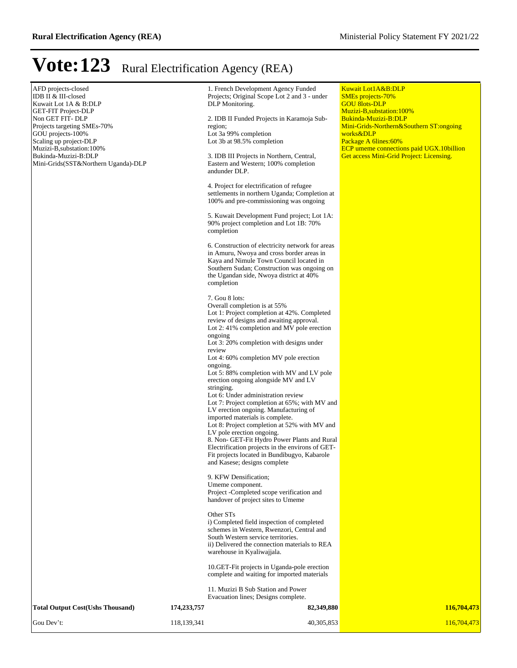$\mathbb{R}^2$ 

# **Vote:123** Rural Electrification Agency (REA)

| AFD projects-closed<br>IDB II & III-closed<br>Kuwait Lot 1A & B:DLP<br><b>GET-FIT Project-DLP</b><br>Non GET FIT- DLP<br>Projects targeting SMEs-70%<br>GOU projects-100%<br>Scaling up project-DLP<br>Muzizi-B, substation: 100%<br>Bukinda-Muzizi-B:DLP<br>Mini-Grids(SST&Northern Uganda)-DLP<br><b>Total Output Cost(Ushs Thousand)</b> | 174,233,757 | 1. French Development Agency Funded<br>Projects; Original Scope Lot 2 and 3 - under<br>DLP Monitoring.<br>2. IDB II Funded Projects in Karamoja Sub-<br>region;<br>Lot 3a 99% completion<br>Lot 3b at 98.5% completion<br>3. IDB III Projects in Northern, Central,<br>Eastern and Western; 100% completion<br>andunder DLP.<br>4. Project for electrification of refugee<br>settlements in northern Uganda; Completion at<br>100% and pre-commissioning was ongoing<br>5. Kuwait Development Fund project; Lot 1A:<br>90% project completion and Lot 1B: 70%<br>completion<br>6. Construction of electricity network for areas<br>in Amuru, Nwoya and cross border areas in<br>Kaya and Nimule Town Council located in<br>Southern Sudan; Construction was ongoing on<br>the Ugandan side, Nwoya district at 40%<br>completion<br>7. Gou 8 lots:<br>Overall completion is at 55%<br>Lot 1: Project completion at 42%. Completed<br>review of designs and awaiting approval.<br>Lot 2:41% completion and MV pole erection<br>ongoing<br>Lot 3: 20% completion with designs under<br>review<br>Lot 4: 60% completion MV pole erection<br>ongoing.<br>Lot 5: 88% completion with MV and LV pole<br>erection ongoing alongside MV and LV<br>stringing.<br>Lot 6: Under administration review<br>Lot 7: Project completion at 65%; with MV and<br>LV erection ongoing. Manufacturing of<br>imported materials is complete.<br>Lot 8: Project completion at 52% with MV and<br>LV pole erection ongoing.<br>8. Non- GET-Fit Hydro Power Plants and Rural<br>Electrification projects in the environs of GET-<br>Fit projects located in Bundibugyo, Kabarole<br>and Kasese; designs complete<br>9. KFW Densification;<br>Umeme component.<br>Project -Completed scope verification and<br>handover of project sites to Umeme<br>Other STs<br>i) Completed field inspection of completed<br>schemes in Western, Rwenzori, Central and<br>South Western service territories.<br>ii) Delivered the connection materials to REA<br>warehouse in Kyaliwajjala.<br>10. GET-Fit projects in Uganda-pole erection<br>complete and waiting for imported materials<br>11. Muzizi B Sub Station and Power<br>Evacuation lines; Designs complete.<br>82,349,880 | <b>Kuwait Lot1A&amp;B:DLP</b><br><b>SMEs</b> projects-70%<br><b>GOU 8lots-DLP</b><br>Muzizi-B, substation: 100%<br>Bukinda-Muzizi-B:DLP<br>Mini-Grids-Northern&Southern ST:ongoing<br>works&DLP<br>Package A 6lines: 60%<br><b>ECP</b> umeme connections paid UGX.10billion<br>Get access Mini-Grid Project: Licensing.<br>116,704,473 |
|---------------------------------------------------------------------------------------------------------------------------------------------------------------------------------------------------------------------------------------------------------------------------------------------------------------------------------------------|-------------|------------------------------------------------------------------------------------------------------------------------------------------------------------------------------------------------------------------------------------------------------------------------------------------------------------------------------------------------------------------------------------------------------------------------------------------------------------------------------------------------------------------------------------------------------------------------------------------------------------------------------------------------------------------------------------------------------------------------------------------------------------------------------------------------------------------------------------------------------------------------------------------------------------------------------------------------------------------------------------------------------------------------------------------------------------------------------------------------------------------------------------------------------------------------------------------------------------------------------------------------------------------------------------------------------------------------------------------------------------------------------------------------------------------------------------------------------------------------------------------------------------------------------------------------------------------------------------------------------------------------------------------------------------------------------------------------------------------------------------------------------------------------------------------------------------------------------------------------------------------------------------------------------------------------------------------------------------------------------------------------------------------------------------------------------------------------------------------------------------------------------------------------------------------------------------------------------------------------------------------------|----------------------------------------------------------------------------------------------------------------------------------------------------------------------------------------------------------------------------------------------------------------------------------------------------------------------------------------|
| Gou Dev't:                                                                                                                                                                                                                                                                                                                                  | 118,139,341 | 40,305,853                                                                                                                                                                                                                                                                                                                                                                                                                                                                                                                                                                                                                                                                                                                                                                                                                                                                                                                                                                                                                                                                                                                                                                                                                                                                                                                                                                                                                                                                                                                                                                                                                                                                                                                                                                                                                                                                                                                                                                                                                                                                                                                                                                                                                                     | 116,704,473                                                                                                                                                                                                                                                                                                                            |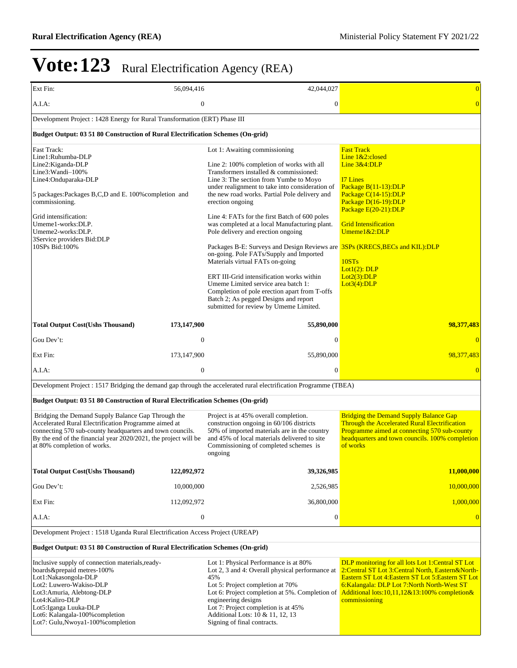| Ext Fin:                                                                                                                                                                                                                                                                                         | 56,094,416       | 42,044,027                                                                                                                                                                                                                                                                                                                                                                                                                                                                                                                                                                                                                                                                                                                                                                                                                  | $\overline{0}$                                                                                                                                                                                                                                                                               |
|--------------------------------------------------------------------------------------------------------------------------------------------------------------------------------------------------------------------------------------------------------------------------------------------------|------------------|-----------------------------------------------------------------------------------------------------------------------------------------------------------------------------------------------------------------------------------------------------------------------------------------------------------------------------------------------------------------------------------------------------------------------------------------------------------------------------------------------------------------------------------------------------------------------------------------------------------------------------------------------------------------------------------------------------------------------------------------------------------------------------------------------------------------------------|----------------------------------------------------------------------------------------------------------------------------------------------------------------------------------------------------------------------------------------------------------------------------------------------|
| A.I.A:                                                                                                                                                                                                                                                                                           | $\boldsymbol{0}$ | $\boldsymbol{0}$                                                                                                                                                                                                                                                                                                                                                                                                                                                                                                                                                                                                                                                                                                                                                                                                            | $\overline{0}$                                                                                                                                                                                                                                                                               |
| Development Project : 1428 Energy for Rural Transformation (ERT) Phase III                                                                                                                                                                                                                       |                  |                                                                                                                                                                                                                                                                                                                                                                                                                                                                                                                                                                                                                                                                                                                                                                                                                             |                                                                                                                                                                                                                                                                                              |
| Budget Output: 03 51 80 Construction of Rural Electrification Schemes (On-grid)                                                                                                                                                                                                                  |                  |                                                                                                                                                                                                                                                                                                                                                                                                                                                                                                                                                                                                                                                                                                                                                                                                                             |                                                                                                                                                                                                                                                                                              |
| Fast Track:<br>Line1:Ruhumba-DLP<br>Line2:Kiganda-DLP<br>Line3: Wandi-100%<br>Line4:Onduparaka-DLP<br>5 packages: Packages B,C,D and E. 100% completion and<br>commissioning.<br>Grid intensification:<br>Umeme1-works:DLP.<br>Umeme2-works:DLP.<br>3Service providers Bid:DLP<br>10SPs Bid:100% |                  | Lot 1: Awaiting commissioning<br>Line 2: 100% completion of works with all<br>Transformers installed & commissioned:<br>Line 3: The section from Yumbe to Moyo<br>under realignment to take into consideration of<br>the new road works. Partial Pole delivery and<br>erection ongoing<br>Line 4: FATs for the first Batch of 600 poles<br>was completed at a local Manufacturing plant.<br>Pole delivery and erection ongoing<br>Packages B-E: Surveys and Design Reviews are <b>3SPs (KRECS, BECs and KIL): DLP</b><br>on-going. Pole FATs/Supply and Imported<br>Materials virtual FATs on-going<br>ERT III-Grid intensification works within<br>Umeme Limited service area batch 1:<br>Completion of pole erection apart from T-offs<br>Batch 2; As pegged Designs and report<br>submitted for review by Umeme Limited. | <b>Fast Track</b><br>Line 1&2:closed<br>Line 3&4:DLP<br><b>I7 Lines</b><br>Package B(11-13):DLP<br>Package C(14-15):DLP<br>Package D(16-19):DLP<br>Package $E(20-21)$ : DLP<br><b>Grid Intensification</b><br>$U$ meme $1&2:DLP$<br>10STs<br>Lot $1(2)$ : DLP<br>Lot2(3): DLP<br>Lot3(4):DLP |
| <b>Total Output Cost(Ushs Thousand)</b>                                                                                                                                                                                                                                                          | 173,147,900      | 55,890,000                                                                                                                                                                                                                                                                                                                                                                                                                                                                                                                                                                                                                                                                                                                                                                                                                  | 98,377,483                                                                                                                                                                                                                                                                                   |
| Gou Dev't:                                                                                                                                                                                                                                                                                       | $\mathbf{0}$     | $\mathbf{0}$                                                                                                                                                                                                                                                                                                                                                                                                                                                                                                                                                                                                                                                                                                                                                                                                                | $\overline{0}$                                                                                                                                                                                                                                                                               |
| Ext Fin:                                                                                                                                                                                                                                                                                         | 173, 147, 900    | 55,890,000                                                                                                                                                                                                                                                                                                                                                                                                                                                                                                                                                                                                                                                                                                                                                                                                                  | 98,377,483                                                                                                                                                                                                                                                                                   |
| $A.I.A$ :                                                                                                                                                                                                                                                                                        | $\boldsymbol{0}$ | $\overline{0}$                                                                                                                                                                                                                                                                                                                                                                                                                                                                                                                                                                                                                                                                                                                                                                                                              | $\overline{0}$                                                                                                                                                                                                                                                                               |
|                                                                                                                                                                                                                                                                                                  |                  | Development Project : 1517 Bridging the demand gap through the accelerated rural electrification Programme (TBEA)                                                                                                                                                                                                                                                                                                                                                                                                                                                                                                                                                                                                                                                                                                           |                                                                                                                                                                                                                                                                                              |
| Budget Output: 03 51 80 Construction of Rural Electrification Schemes (On-grid)                                                                                                                                                                                                                  |                  |                                                                                                                                                                                                                                                                                                                                                                                                                                                                                                                                                                                                                                                                                                                                                                                                                             |                                                                                                                                                                                                                                                                                              |
| Bridging the Demand Supply Balance Gap Through the<br>Accelerated Rural Electrification Programme aimed at<br>connecting 570 sub-county headquarters and town councils.<br>By the end of the financial year 2020/2021, the project will be<br>at 80% completion of works.                        |                  | Project is at 45% overall completion.<br>construction ongoing in 60/106 districts<br>50% of imported materials are in the country<br>and 45% of local materials delivered to site<br>Commissioning of completed schemes is<br>ongoing                                                                                                                                                                                                                                                                                                                                                                                                                                                                                                                                                                                       | <b>Bridging the Demand Supply Balance Gap</b><br>Through the Accelerated Rural Electrification<br>Programme aimed at connecting 570 sub-county<br>headquarters and town councils. 100% completion<br>of works                                                                                |
| <b>Total Output Cost(Ushs Thousand)</b>                                                                                                                                                                                                                                                          | 122,092,972      | 39,326,985                                                                                                                                                                                                                                                                                                                                                                                                                                                                                                                                                                                                                                                                                                                                                                                                                  | 11,000,000                                                                                                                                                                                                                                                                                   |
| Gou Dev't:                                                                                                                                                                                                                                                                                       | 10,000,000       | 2,526,985                                                                                                                                                                                                                                                                                                                                                                                                                                                                                                                                                                                                                                                                                                                                                                                                                   | 10,000,000                                                                                                                                                                                                                                                                                   |
| Ext Fin:                                                                                                                                                                                                                                                                                         | 112,092,972      | 36,800,000                                                                                                                                                                                                                                                                                                                                                                                                                                                                                                                                                                                                                                                                                                                                                                                                                  | 1,000,000                                                                                                                                                                                                                                                                                    |
| A.I.A:                                                                                                                                                                                                                                                                                           | $\boldsymbol{0}$ | 0                                                                                                                                                                                                                                                                                                                                                                                                                                                                                                                                                                                                                                                                                                                                                                                                                           | $\overline{0}$                                                                                                                                                                                                                                                                               |
| Development Project : 1518 Uganda Rural Electrification Access Project (UREAP)                                                                                                                                                                                                                   |                  |                                                                                                                                                                                                                                                                                                                                                                                                                                                                                                                                                                                                                                                                                                                                                                                                                             |                                                                                                                                                                                                                                                                                              |
| <b>Budget Output: 03 51 80 Construction of Rural Electrification Schemes (On-grid)</b>                                                                                                                                                                                                           |                  |                                                                                                                                                                                                                                                                                                                                                                                                                                                                                                                                                                                                                                                                                                                                                                                                                             |                                                                                                                                                                                                                                                                                              |
| Inclusive supply of connection materials, ready-<br>boards&prepaid metres-100%<br>Lot1:Nakasongola-DLP<br>Lot2: Luwero-Wakiso-DLP<br>Lot3: Amuria, Alebtong-DLP<br>Lot4:Kaliro-DLP<br>Lot5: Iganga Luuka-DLP<br>Lot6: Kalangala-100% completion<br>Lot7: Gulu, Nwoya1-100% completion            |                  | Lot 1: Physical Performance is at 80%<br>Lot 2, 3 and 4: Overall physical performance at<br>45%<br>Lot 5: Project completion at 70%<br>Lot 6: Project completion at 5%. Completion of<br>engineering designs<br>Lot 7: Project completion is at 45%<br>Additional Lots: 10 & 11, 12, 13<br>Signing of final contracts.                                                                                                                                                                                                                                                                                                                                                                                                                                                                                                      | DLP monitoring for all lots Lot 1:Central ST Lot<br>2: Central ST Lot 3: Central North, Eastern& North-<br>Eastern ST Lot 4: Eastern ST Lot 5: Eastern ST Lot<br>6: Kalangala: DLP Lot 7: North North-West ST<br>Additional lots:10,11,12&13:100% completion&<br>commissioning               |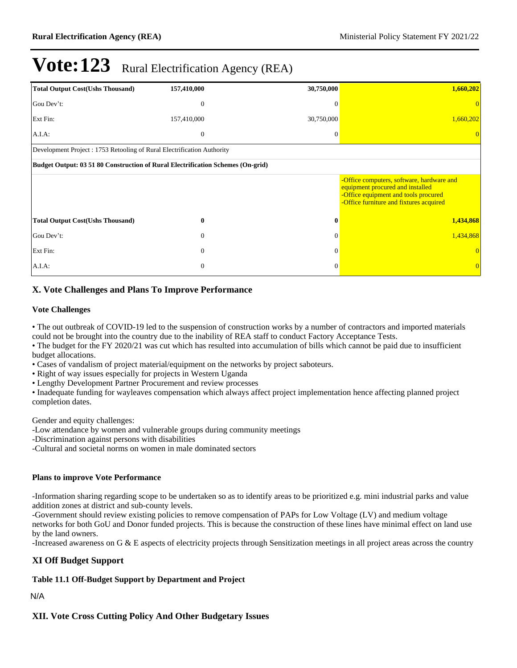| <b>Total Output Cost(Ushs Thousand)</b>                                | 157,410,000                                                                     | 30,750,000 | 1,660,202                                                                                                                                                        |  |  |  |  |  |
|------------------------------------------------------------------------|---------------------------------------------------------------------------------|------------|------------------------------------------------------------------------------------------------------------------------------------------------------------------|--|--|--|--|--|
| Gou Dev't:                                                             | $\theta$                                                                        | $\Omega$   |                                                                                                                                                                  |  |  |  |  |  |
| Ext Fin:                                                               | 157,410,000                                                                     | 30,750,000 | 1,660,202                                                                                                                                                        |  |  |  |  |  |
| A.I.A.                                                                 | $\overline{0}$                                                                  | $\Omega$   |                                                                                                                                                                  |  |  |  |  |  |
| Development Project: 1753 Retooling of Rural Electrification Authority |                                                                                 |            |                                                                                                                                                                  |  |  |  |  |  |
|                                                                        | Budget Output: 03 51 80 Construction of Rural Electrification Schemes (On-grid) |            |                                                                                                                                                                  |  |  |  |  |  |
|                                                                        |                                                                                 |            | -Office computers, software, hardware and<br>equipment procured and installed<br>-Office equipment and tools procured<br>-Office furniture and fixtures acquired |  |  |  |  |  |
| <b>Total Output Cost(Ushs Thousand)</b>                                | $\bf{0}$                                                                        | $\bf{0}$   | 1,434,868                                                                                                                                                        |  |  |  |  |  |
| Gou Dev't:                                                             | $\theta$                                                                        | $\theta$   | 1,434,868                                                                                                                                                        |  |  |  |  |  |
| Ext Fin:                                                               | $\theta$                                                                        | $\theta$   |                                                                                                                                                                  |  |  |  |  |  |
| $A.I.A$ :                                                              | $\boldsymbol{0}$                                                                | $\Omega$   |                                                                                                                                                                  |  |  |  |  |  |

### **X. Vote Challenges and Plans To Improve Performance**

#### **Vote Challenges**

The out outbreak of COVID-19 led to the suspension of construction works by a number of contractors and imported materials could not be brought into the country due to the inability of REA staff to conduct Factory Acceptance Tests.

The budget for the FY 2020/21 was cut which has resulted into accumulation of bills which cannot be paid due to insufficient budget allocations.

Cases of vandalism of project material/equipment on the networks by project saboteurs.

• Right of way issues especially for projects in Western Uganda

Lengthy Development Partner Procurement and review processes

Inadequate funding for wayleaves compensation which always affect project implementation hence affecting planned project completion dates.

Gender and equity challenges:

-Low attendance by women and vulnerable groups during community meetings

-Discrimination against persons with disabilities

-Cultural and societal norms on women in male dominated sectors

#### **Plans to improve Vote Performance**

-Information sharing regarding scope to be undertaken so as to identify areas to be prioritized e.g. mini industrial parks and value addition zones at district and sub-county levels.

-Government should review existing policies to remove compensation of PAPs for Low Voltage (LV) and medium voltage networks for both GoU and Donor funded projects. This is because the construction of these lines have minimal effect on land use by the land owners.

-Increased awareness on G & E aspects of electricity projects through Sensitization meetings in all project areas across the country

#### **XI Off Budget Support**

#### **Table 11.1 Off-Budget Support by Department and Project**

N/A

**XII. Vote Cross Cutting Policy And Other Budgetary Issues**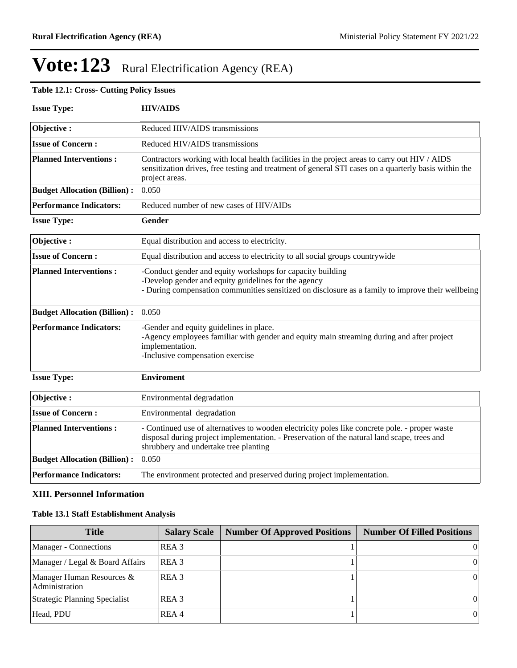### **Table 12.1: Cross- Cutting Policy Issues**

| <b>Issue Type:</b>                  | <b>HIV/AIDS</b>                                                                                                                                                                                                                        |
|-------------------------------------|----------------------------------------------------------------------------------------------------------------------------------------------------------------------------------------------------------------------------------------|
| Objective:                          | Reduced HIV/AIDS transmissions                                                                                                                                                                                                         |
| <b>Issue of Concern:</b>            | Reduced HIV/AIDS transmissions                                                                                                                                                                                                         |
| <b>Planned Interventions:</b>       | Contractors working with local health facilities in the project areas to carry out HIV / AIDS<br>sensitization drives, free testing and treatment of general STI cases on a quarterly basis within the<br>project areas.               |
| <b>Budget Allocation (Billion):</b> | 0.050                                                                                                                                                                                                                                  |
| <b>Performance Indicators:</b>      | Reduced number of new cases of HIV/AIDs                                                                                                                                                                                                |
| <b>Issue Type:</b>                  | Gender                                                                                                                                                                                                                                 |
| Objective:                          | Equal distribution and access to electricity.                                                                                                                                                                                          |
| <b>Issue of Concern:</b>            | Equal distribution and access to electricity to all social groups countrywide                                                                                                                                                          |
| <b>Planned Interventions:</b>       | -Conduct gender and equity workshops for capacity building<br>-Develop gender and equity guidelines for the agency<br>- During compensation communities sensitized on disclosure as a family to improve their wellbeing                |
| <b>Budget Allocation (Billion):</b> | 0.050                                                                                                                                                                                                                                  |
| <b>Performance Indicators:</b>      | -Gender and equity guidelines in place.<br>-Agency employees familiar with gender and equity main streaming during and after project<br>implementation.<br>-Inclusive compensation exercise                                            |
| <b>Issue Type:</b>                  | <b>Enviroment</b>                                                                                                                                                                                                                      |
| Objective:                          | Environmental degradation                                                                                                                                                                                                              |
| <b>Issue of Concern:</b>            | Environmental degradation                                                                                                                                                                                                              |
| <b>Planned Interventions:</b>       | - Continued use of alternatives to wooden electricity poles like concrete pole. - proper waste<br>disposal during project implementation. - Preservation of the natural land scape, trees and<br>shrubbery and undertake tree planting |
| <b>Budget Allocation (Billion):</b> | 0.050                                                                                                                                                                                                                                  |
| <b>Performance Indicators:</b>      | The environment protected and preserved during project implementation.                                                                                                                                                                 |

### **XIII. Personnel Information**

#### **Table 13.1 Staff Establishment Analysis**

| <b>Title</b>                                | <b>Salary Scale</b> | <b>Number Of Approved Positions</b> | <b>Number Of Filled Positions</b> |
|---------------------------------------------|---------------------|-------------------------------------|-----------------------------------|
| Manager - Connections                       | REA 3               |                                     | 01                                |
| Manager / Legal & Board Affairs             | REA 3               |                                     | $\overline{0}$                    |
| Manager Human Resources &<br>Administration | IREA 3              |                                     | $\overline{0}$                    |
| Strategic Planning Specialist               | REA 3               |                                     | $\Omega$                          |
| Head, PDU                                   | REA 4               |                                     | $\Omega$                          |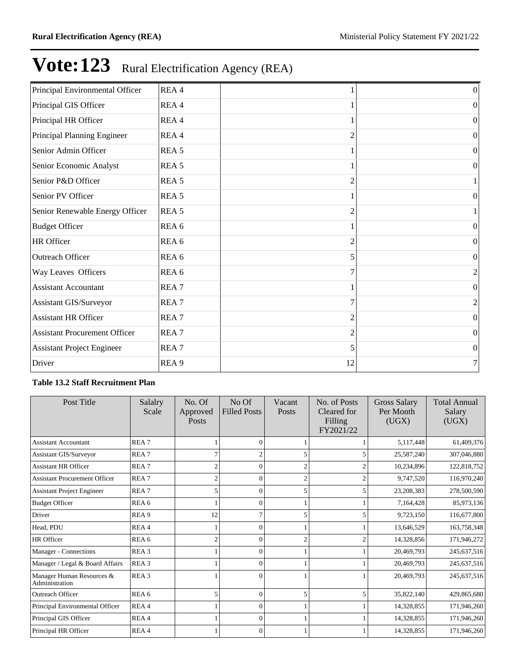| Principal Environmental Officer      | REA 4            |    | $\boldsymbol{0}$ |
|--------------------------------------|------------------|----|------------------|
| Principal GIS Officer                | REA 4            |    | $\Omega$         |
| Principal HR Officer                 | REA 4            |    | $\vert 0 \vert$  |
| Principal Planning Engineer          | REA 4            | 2  | $\vert 0 \vert$  |
| Senior Admin Officer                 | REA <sub>5</sub> |    | $\overline{0}$   |
| Senior Economic Analyst              | REA <sub>5</sub> |    | $\overline{0}$   |
| Senior P&D Officer                   | REA <sub>5</sub> | 2  |                  |
| Senior PV Officer                    | REA <sub>5</sub> |    | 0                |
| Senior Renewable Energy Officer      | REA <sub>5</sub> | 2  |                  |
| <b>Budget Officer</b>                | REA <sub>6</sub> |    | $\theta$         |
| HR Officer                           | REA <sub>6</sub> |    | $\theta$         |
| <b>Outreach Officer</b>              | REA <sub>6</sub> | 5  | $\Omega$         |
| Way Leaves Officers                  | REA 6            | 7  | 2                |
| <b>Assistant Accountant</b>          | REA <sub>7</sub> |    | $\Omega$         |
| Assistant GIS/Surveyor               | REA <sub>7</sub> | 7  | $\overline{c}$   |
| <b>Assistant HR Officer</b>          | REA <sub>7</sub> | 2  | $\overline{0}$   |
| <b>Assistant Procurement Officer</b> | REA <sub>7</sub> | 2  | $\theta$         |
| <b>Assistant Project Engineer</b>    | REA <sub>7</sub> | 5  | $\overline{0}$   |
| Driver                               | REA <sub>9</sub> | 12 | 7 <sub>1</sub>   |

#### **Table 13.2 Staff Recruitment Plan**

| Post Title                                  | Salalry<br>Scale | No. Of<br>Approved<br><b>Posts</b> | No Of<br><b>Filled Posts</b> | Vacant<br>Posts | No. of Posts<br>Cleared for<br>Filling<br>FY2021/22 | <b>Gross Salary</b><br>Per Month<br>(UGX) | <b>Total Annual</b><br>Salary<br>(UGX) |
|---------------------------------------------|------------------|------------------------------------|------------------------------|-----------------|-----------------------------------------------------|-------------------------------------------|----------------------------------------|
| <b>Assistant Accountant</b>                 | REA <sub>7</sub> |                                    | $\Omega$                     |                 |                                                     | 5,117,448                                 | 61,409,376                             |
| <b>Assistant GIS/Surveyor</b>               | REA <sub>7</sub> | 7                                  | $\overline{c}$               |                 |                                                     | 25,587,240                                | 307,046,880                            |
| <b>Assistant HR Officer</b>                 | REA <sub>7</sub> | 2                                  | $\Omega$                     |                 |                                                     | 10,234,896                                | 122,818,752                            |
| <b>Assistant Procurement Officer</b>        | REA <sub>7</sub> | $\overline{c}$                     | $\Omega$                     |                 |                                                     | 9,747,520                                 | 116,970,240                            |
| <b>Assistant Project Engineer</b>           | REA <sub>7</sub> | 5                                  | $\Omega$                     |                 | 5                                                   | 23,208,383                                | 278,500,590                            |
| <b>Budget Officer</b>                       | REA <sub>6</sub> |                                    | $\Omega$                     |                 |                                                     | 7,164,428                                 | 85,973,136                             |
| Driver                                      | REA <sub>9</sub> | 12                                 | 7                            |                 | 5                                                   | 9,723,150                                 | 116,677,800                            |
| Head, PDU                                   | REA4             |                                    | $\Omega$                     |                 |                                                     | 13,646,529                                | 163,758,348                            |
| HR Officer                                  | REA <sub>6</sub> | $\overline{2}$                     | $\Omega$                     |                 |                                                     | 14,328,856                                | 171,946,272                            |
| Manager - Connections                       | REA <sub>3</sub> |                                    | $\Omega$                     |                 |                                                     | 20,469,793                                | 245,637,516                            |
| Manager / Legal & Board Affairs             | REA <sub>3</sub> |                                    | $\Omega$                     |                 |                                                     | 20,469,793                                | 245,637,516                            |
| Manager Human Resources &<br>Administration | REA <sub>3</sub> |                                    | $\Omega$                     |                 |                                                     | 20,469,793                                | 245,637,516                            |
| <b>Outreach Officer</b>                     | REA <sub>6</sub> | 5                                  | $\Omega$                     |                 |                                                     | 35,822,140                                | 429,865,680                            |
| Principal Environmental Officer             | REA4             |                                    | $\Omega$                     |                 |                                                     | 14,328,855                                | 171,946,260                            |
| Principal GIS Officer                       | REA4             |                                    | $\Omega$                     |                 |                                                     | 14,328,855                                | 171,946,260                            |
| Principal HR Officer                        | REA4             |                                    | $\Omega$                     |                 |                                                     | 14,328,855                                | 171,946,260                            |